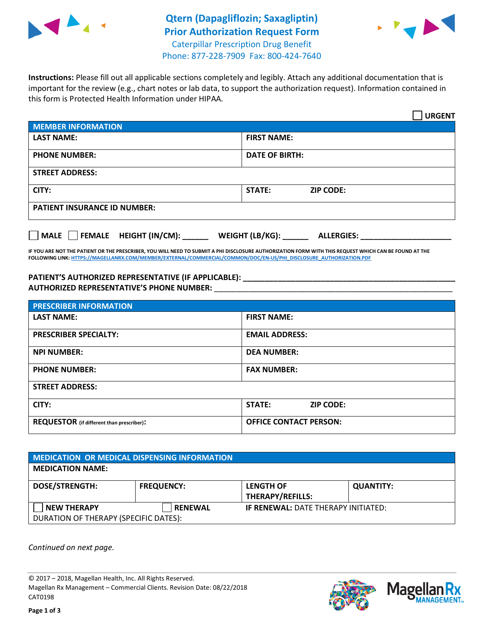

## **Qtern (Dapagliflozin; Saxagliptin) Prior Authorization Request Form** Caterpillar Prescription Drug Benefit



Phone: 877-228-7909 Fax: 800-424-7640

**Instructions:** Please fill out all applicable sections completely and legibly. Attach any additional documentation that is important for the review (e.g., chart notes or lab data, to support the authorization request). Information contained in this form is Protected Health Information under HIPAA.

|                                                              | <b>URGENT</b>                        |  |  |  |
|--------------------------------------------------------------|--------------------------------------|--|--|--|
| <b>MEMBER INFORMATION</b>                                    |                                      |  |  |  |
| <b>LAST NAME:</b>                                            | <b>FIRST NAME:</b>                   |  |  |  |
| <b>PHONE NUMBER:</b>                                         | <b>DATE OF BIRTH:</b>                |  |  |  |
| <b>STREET ADDRESS:</b>                                       |                                      |  |  |  |
| CITY:                                                        | <b>ZIP CODE:</b><br>STATE:           |  |  |  |
| <b>PATIENT INSURANCE ID NUMBER:</b>                          |                                      |  |  |  |
| FEMALE HEIGHT (IN/CM):<br>$\blacksquare$ MALE $\blacksquare$ | WEIGHT (LB/KG):<br><b>ALLERGIES:</b> |  |  |  |

**IF YOU ARE NOT THE PATIENT OR THE PRESCRIBER, YOU WILL NEED TO SUBMIT A PHI DISCLOSURE AUTHORIZATION FORM WITH THIS REQUEST WHICH CAN BE FOUND AT THE FOLLOWING LINK[: HTTPS://MAGELLANRX.COM/MEMBER/EXTERNAL/COMMERCIAL/COMMON/DOC/EN-US/PHI\\_DISCLOSURE\\_AUTHORIZATION.PDF](https://magellanrx.com/member/external/commercial/common/doc/en-us/PHI_Disclosure_Authorization.pdf)**

**PATIENT'S AUTHORIZED REPRESENTATIVE (IF APPLICABLE): \_\_\_\_\_\_\_\_\_\_\_\_\_\_\_\_\_\_\_\_\_\_\_\_\_\_\_\_\_\_\_\_\_\_\_\_\_\_\_\_\_\_\_\_\_\_\_\_\_ AUTHORIZED REPRESENTATIVE'S PHONE NUMBER:** \_\_\_\_\_\_\_\_\_\_\_\_\_\_\_\_\_\_\_\_\_\_\_\_\_\_\_\_\_\_\_\_\_\_\_\_\_\_\_\_\_\_\_\_\_\_\_\_\_\_\_\_\_\_\_

| <b>PRESCRIBER INFORMATION</b>             |                               |  |  |  |
|-------------------------------------------|-------------------------------|--|--|--|
| <b>LAST NAME:</b>                         | <b>FIRST NAME:</b>            |  |  |  |
| <b>PRESCRIBER SPECIALTY:</b>              | <b>EMAIL ADDRESS:</b>         |  |  |  |
| <b>NPI NUMBER:</b>                        | <b>DEA NUMBER:</b>            |  |  |  |
| <b>PHONE NUMBER:</b>                      | <b>FAX NUMBER:</b>            |  |  |  |
| <b>STREET ADDRESS:</b>                    |                               |  |  |  |
| CITY:                                     | STATE:<br><b>ZIP CODE:</b>    |  |  |  |
| REQUESTOR (if different than prescriber): | <b>OFFICE CONTACT PERSON:</b> |  |  |  |

| <b>MEDICATION OR MEDICAL DISPENSING INFORMATION</b> |                   |                                            |                  |  |
|-----------------------------------------------------|-------------------|--------------------------------------------|------------------|--|
| <b>MEDICATION NAME:</b>                             |                   |                                            |                  |  |
| <b>DOSE/STRENGTH:</b>                               | <b>FREQUENCY:</b> | <b>LENGTH OF</b>                           | <b>QUANTITY:</b> |  |
|                                                     |                   | <b>THERAPY/REFILLS:</b>                    |                  |  |
| <b>NEW THERAPY</b>                                  | <b>RENEWAL</b>    | <b>IF RENEWAL: DATE THERAPY INITIATED:</b> |                  |  |
| DURATION OF THERAPY (SPECIFIC DATES):               |                   |                                            |                  |  |

*Continued on next page.*

© 2017 – 2018, Magellan Health, Inc. All Rights Reserved. Magellan Rx Management – Commercial Clients. Revision Date: 08/22/2018 CAT0198



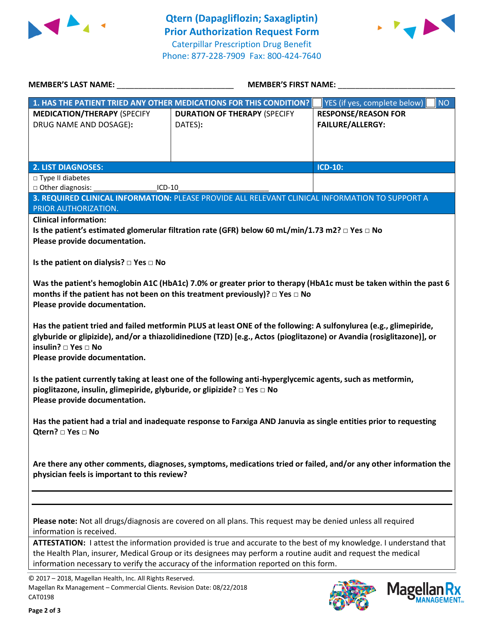



| <b>MEMBER'S LAST NAME:</b>                                                                                                                     | <b>MEMBER'S FIRST NAME:</b>                                                                                                                                                                                                                                                                                                     |                                                       |  |
|------------------------------------------------------------------------------------------------------------------------------------------------|---------------------------------------------------------------------------------------------------------------------------------------------------------------------------------------------------------------------------------------------------------------------------------------------------------------------------------|-------------------------------------------------------|--|
|                                                                                                                                                | 1. HAS THE PATIENT TRIED ANY OTHER MEDICATIONS FOR THIS CONDITION?                                                                                                                                                                                                                                                              | <b>NO</b><br>YES (if yes, complete below)             |  |
| <b>MEDICATION/THERAPY (SPECIFY</b><br>DRUG NAME AND DOSAGE):                                                                                   | <b>DURATION OF THERAPY (SPECIFY</b><br>DATES):                                                                                                                                                                                                                                                                                  | <b>RESPONSE/REASON FOR</b><br><b>FAILURE/ALLERGY:</b> |  |
| <b>2. LIST DIAGNOSES:</b>                                                                                                                      |                                                                                                                                                                                                                                                                                                                                 | ICD-10:                                               |  |
| □ Type II diabetes                                                                                                                             |                                                                                                                                                                                                                                                                                                                                 |                                                       |  |
| □ Other diagnosis:<br>ICD-10                                                                                                                   |                                                                                                                                                                                                                                                                                                                                 |                                                       |  |
|                                                                                                                                                | 3. REQUIRED CLINICAL INFORMATION: PLEASE PROVIDE ALL RELEVANT CLINICAL INFORMATION TO SUPPORT A                                                                                                                                                                                                                                 |                                                       |  |
| PRIOR AUTHORIZATION.<br><b>Clinical information:</b>                                                                                           |                                                                                                                                                                                                                                                                                                                                 |                                                       |  |
|                                                                                                                                                | Is the patient's estimated glomerular filtration rate (GFR) below 60 mL/min/1.73 m2? $\Box$ Yes $\Box$ No                                                                                                                                                                                                                       |                                                       |  |
| Please provide documentation.                                                                                                                  |                                                                                                                                                                                                                                                                                                                                 |                                                       |  |
|                                                                                                                                                |                                                                                                                                                                                                                                                                                                                                 |                                                       |  |
| Is the patient on dialysis? $\square$ Yes $\square$ No                                                                                         |                                                                                                                                                                                                                                                                                                                                 |                                                       |  |
| Please provide documentation.                                                                                                                  | Was the patient's hemoglobin A1C (HbA1c) 7.0% or greater prior to therapy (HbA1c must be taken within the past 6<br>months if the patient has not been on this treatment previously)? $\Box$ Yes $\Box$ No<br>Has the patient tried and failed metformin PLUS at least ONE of the following: A sulfonylurea (e.g., glimepiride, |                                                       |  |
| insulin? □ Yes □ No<br>Please provide documentation.                                                                                           | glyburide or glipizide), and/or a thiazolidinedione (TZD) [e.g., Actos (pioglitazone) or Avandia (rosiglitazone)], or                                                                                                                                                                                                           |                                                       |  |
| pioglitazone, insulin, glimepiride, glyburide, or glipizide? □ Yes □ No<br>Please provide documentation.                                       | Is the patient currently taking at least one of the following anti-hyperglycemic agents, such as metformin,                                                                                                                                                                                                                     |                                                       |  |
| Qtern? □ Yes □ No                                                                                                                              | Has the patient had a trial and inadequate response to Farxiga AND Januvia as single entities prior to requesting                                                                                                                                                                                                               |                                                       |  |
| physician feels is important to this review?                                                                                                   | Are there any other comments, diagnoses, symptoms, medications tried or failed, and/or any other information the                                                                                                                                                                                                                |                                                       |  |
|                                                                                                                                                |                                                                                                                                                                                                                                                                                                                                 |                                                       |  |
| information is received.                                                                                                                       | Please note: Not all drugs/diagnosis are covered on all plans. This request may be denied unless all required                                                                                                                                                                                                                   |                                                       |  |
|                                                                                                                                                | ATTESTATION: I attest the information provided is true and accurate to the best of my knowledge. I understand that<br>the Health Plan, insurer, Medical Group or its designees may perform a routine audit and request the medical<br>information necessary to verify the accuracy of the information reported on this form.    |                                                       |  |
| © 2017 - 2018, Magellan Health, Inc. All Rights Reserved.<br>Magellan Rx Management - Commercial Clients. Revision Date: 08/22/2018<br>CAT0198 |                                                                                                                                                                                                                                                                                                                                 | <b>Magella</b>                                        |  |